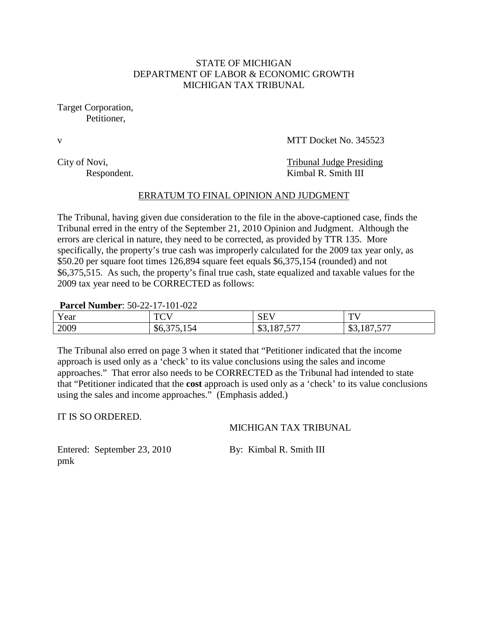## STATE OF MICHIGAN DEPARTMENT OF LABOR & ECONOMIC GROWTH MICHIGAN TAX TRIBUNAL

Target Corporation, Petitioner,

v MTT Docket No. 345523

City of Novi, Tribunal Judge Presiding Respondent. Kimbal R. Smith III

## ERRATUM TO FINAL OPINION AND JUDGMENT

The Tribunal, having given due consideration to the file in the above-captioned case, finds the Tribunal erred in the entry of the September 21, 2010 Opinion and Judgment. Although the errors are clerical in nature, they need to be corrected, as provided by TTR 135. More specifically, the property's true cash was improperly calculated for the 2009 tax year only, as \$50.20 per square foot times 126,894 square feet equals \$6,375,154 (rounded) and not \$6,375,515. As such, the property's final true cash, state equalized and taxable values for the 2009 tax year need to be CORRECTED as follows:

#### **Parcel Number**: 50-22-17-101-022

| $\mathbf{x}$<br>Y ear | T <sub>0</sub><br>$\sim$ . | $\sim$ T <sub><math>\rm{T}</math></sub><br>نتاق | $\mathbf{m}$<br>-                                             |
|-----------------------|----------------------------|-------------------------------------------------|---------------------------------------------------------------|
| 2009                  | DO.<br>℩⅃                  | 07.577<br>$\uparrow$<br>0.101.5                 | $H \rightarrow H$<br>$\Omega$<br>$\sim$<br>-<br>ر ب<br>$\sim$ |

The Tribunal also erred on page 3 when it stated that "Petitioner indicated that the income approach is used only as a 'check' to its value conclusions using the sales and income approaches." That error also needs to be CORRECTED as the Tribunal had intended to state that "Petitioner indicated that the **cost** approach is used only as a 'check' to its value conclusions using the sales and income approaches." (Emphasis added.)

IT IS SO ORDERED.

MICHIGAN TAX TRIBUNAL

Entered: September 23, 2010 By: Kimbal R. Smith III pmk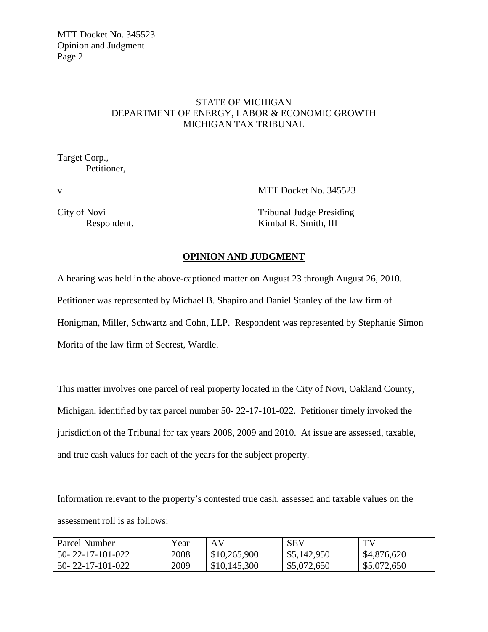# STATE OF MICHIGAN DEPARTMENT OF ENERGY, LABOR & ECONOMIC GROWTH MICHIGAN TAX TRIBUNAL

Target Corp., Petitioner,

v MTT Docket No. 345523

City of Novi Tribunal Judge Presiding Respondent. Kimbal R. Smith, III

## **OPINION AND JUDGMENT**

A hearing was held in the above-captioned matter on August 23 through August 26, 2010. Petitioner was represented by Michael B. Shapiro and Daniel Stanley of the law firm of Honigman, Miller, Schwartz and Cohn, LLP. Respondent was represented by Stephanie Simon Morita of the law firm of Secrest, Wardle.

This matter involves one parcel of real property located in the City of Novi, Oakland County, Michigan, identified by tax parcel number 50- 22-17-101-022. Petitioner timely invoked the jurisdiction of the Tribunal for tax years 2008, 2009 and 2010. At issue are assessed, taxable, and true cash values for each of the years for the subject property.

Information relevant to the property's contested true cash, assessed and taxable values on the assessment roll is as follows:

| Parcel Number              | Year | AV           | <b>SEV</b>  | TV          |
|----------------------------|------|--------------|-------------|-------------|
| $50 - 22 - 17 - 101 - 022$ | 2008 | \$10,265,900 | \$5,142,950 | \$4,876,620 |
| $50 - 22 - 17 - 101 - 022$ | 2009 | \$10,145,300 | \$5,072,650 | \$5,072,650 |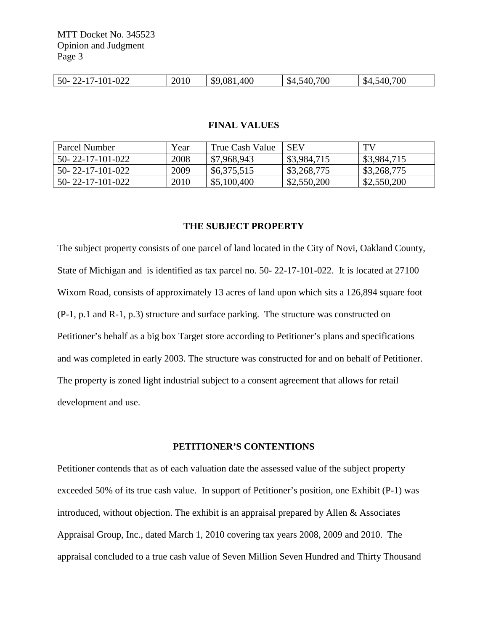| $22 - 17 - 101 - 022$<br>$50-$ | 2010 | \$9,081,400 | 700<br>\$4,540.7<br>т. | .700<br>540,<br>$\sqrt{54}$<br>т.⊾ |
|--------------------------------|------|-------------|------------------------|------------------------------------|
|                                |      |             |                        |                                    |

#### **FINAL VALUES**

| Parcel Number    | Year | True Cash Value | <b>SEV</b>  | TV          |
|------------------|------|-----------------|-------------|-------------|
| 50-22-17-101-022 | 2008 | \$7,968,943     | \$3,984,715 | \$3,984,715 |
| 50-22-17-101-022 | 2009 | \$6,375,515     | \$3,268,775 | \$3,268,775 |
| 50-22-17-101-022 | 2010 | \$5,100,400     | \$2,550,200 | \$2,550,200 |

#### **THE SUBJECT PROPERTY**

The subject property consists of one parcel of land located in the City of Novi, Oakland County, State of Michigan and is identified as tax parcel no. 50- 22-17-101-022. It is located at 27100 Wixom Road, consists of approximately 13 acres of land upon which sits a 126,894 square foot (P-1, p.1 and R-1, p.3) structure and surface parking. The structure was constructed on Petitioner's behalf as a big box Target store according to Petitioner's plans and specifications and was completed in early 2003. The structure was constructed for and on behalf of Petitioner. The property is zoned light industrial subject to a consent agreement that allows for retail development and use.

#### **PETITIONER'S CONTENTIONS**

Petitioner contends that as of each valuation date the assessed value of the subject property exceeded 50% of its true cash value. In support of Petitioner's position, one Exhibit (P-1) was introduced, without objection. The exhibit is an appraisal prepared by Allen & Associates Appraisal Group, Inc., dated March 1, 2010 covering tax years 2008, 2009 and 2010. The appraisal concluded to a true cash value of Seven Million Seven Hundred and Thirty Thousand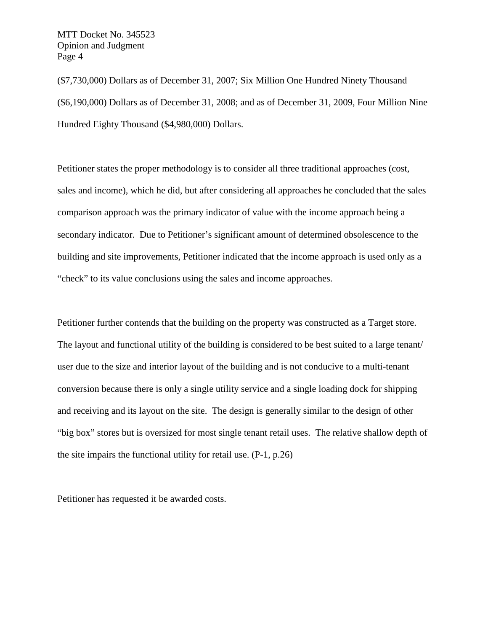(\$7,730,000) Dollars as of December 31, 2007; Six Million One Hundred Ninety Thousand (\$6,190,000) Dollars as of December 31, 2008; and as of December 31, 2009, Four Million Nine Hundred Eighty Thousand (\$4,980,000) Dollars.

Petitioner states the proper methodology is to consider all three traditional approaches (cost, sales and income), which he did, but after considering all approaches he concluded that the sales comparison approach was the primary indicator of value with the income approach being a secondary indicator. Due to Petitioner's significant amount of determined obsolescence to the building and site improvements, Petitioner indicated that the income approach is used only as a "check" to its value conclusions using the sales and income approaches.

Petitioner further contends that the building on the property was constructed as a Target store. The layout and functional utility of the building is considered to be best suited to a large tenant/ user due to the size and interior layout of the building and is not conducive to a multi-tenant conversion because there is only a single utility service and a single loading dock for shipping and receiving and its layout on the site. The design is generally similar to the design of other "big box" stores but is oversized for most single tenant retail uses. The relative shallow depth of the site impairs the functional utility for retail use. (P-1, p.26)

Petitioner has requested it be awarded costs.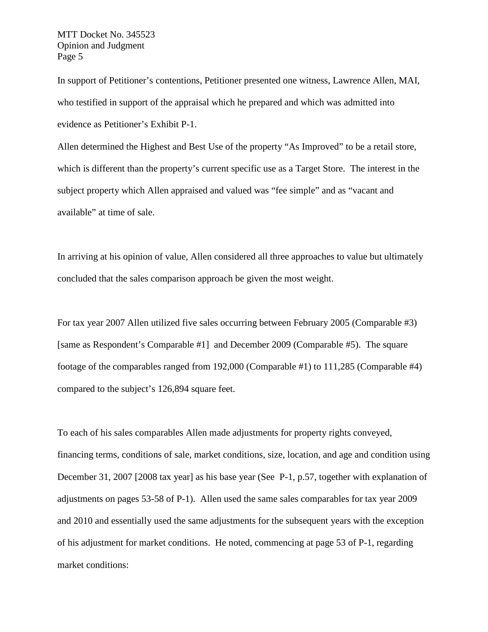In support of Petitioner's contentions, Petitioner presented one witness, Lawrence Allen, MAI, who testified in support of the appraisal which he prepared and which was admitted into evidence as Petitioner's Exhibit P-1.

Allen determined the Highest and Best Use of the property "As Improved" to be a retail store, which is different than the property's current specific use as a Target Store. The interest in the subject property which Allen appraised and valued was "fee simple" and as "vacant and available" at time of sale.

In arriving at his opinion of value, Allen considered all three approaches to value but ultimately concluded that the sales comparison approach be given the most weight.

For tax year 2007 Allen utilized five sales occurring between February 2005 (Comparable #3) [same as Respondent's Comparable #1] and December 2009 (Comparable #5). The square footage of the comparables ranged from 192,000 (Comparable #1) to 111,285 (Comparable #4) compared to the subject's 126,894 square feet.

To each of his sales comparables Allen made adjustments for property rights conveyed, financing terms, conditions of sale, market conditions, size, location, and age and condition using December 31, 2007 [2008 tax year] as his base year (See P-1, p.57, together with explanation of adjustments on pages 53-58 of P-1). Allen used the same sales comparables for tax year 2009 and 2010 and essentially used the same adjustments for the subsequent years with the exception of his adjustment for market conditions. He noted, commencing at page 53 of P-1, regarding market conditions: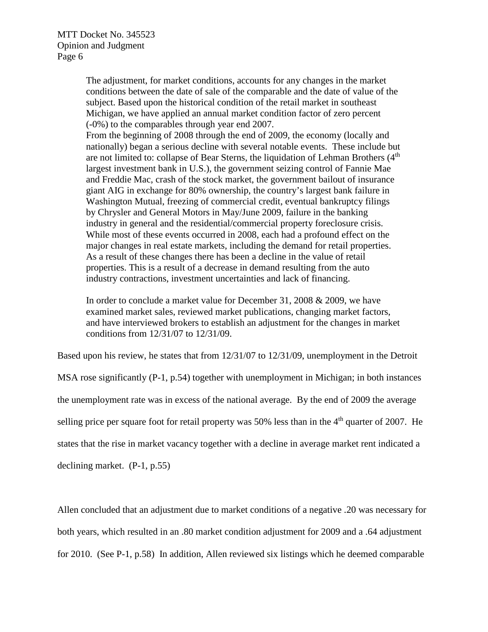The adjustment, for market conditions, accounts for any changes in the market conditions between the date of sale of the comparable and the date of value of the subject. Based upon the historical condition of the retail market in southeast Michigan, we have applied an annual market condition factor of zero percent (-0%) to the comparables through year end 2007.

From the beginning of 2008 through the end of 2009, the economy (locally and nationally) began a serious decline with several notable events. These include but are not limited to: collapse of Bear Sterns, the liquidation of Lehman Brothers  $(4<sup>th</sup>$ largest investment bank in U.S.), the government seizing control of Fannie Mae and Freddie Mac, crash of the stock market, the government bailout of insurance giant AIG in exchange for 80% ownership, the country's largest bank failure in Washington Mutual, freezing of commercial credit, eventual bankruptcy filings by Chrysler and General Motors in May/June 2009, failure in the banking industry in general and the residential/commercial property foreclosure crisis. While most of these events occurred in 2008, each had a profound effect on the major changes in real estate markets, including the demand for retail properties. As a result of these changes there has been a decline in the value of retail properties. This is a result of a decrease in demand resulting from the auto industry contractions, investment uncertainties and lack of financing.

In order to conclude a market value for December 31, 2008 & 2009, we have examined market sales, reviewed market publications, changing market factors, and have interviewed brokers to establish an adjustment for the changes in market conditions from 12/31/07 to 12/31/09.

Based upon his review, he states that from 12/31/07 to 12/31/09, unemployment in the Detroit

MSA rose significantly (P-1, p.54) together with unemployment in Michigan; in both instances the unemployment rate was in excess of the national average. By the end of 2009 the average selling price per square foot for retail property was  $50\%$  less than in the  $4<sup>th</sup>$  quarter of 2007. He states that the rise in market vacancy together with a decline in average market rent indicated a

declining market. (P-1, p.55)

Allen concluded that an adjustment due to market conditions of a negative .20 was necessary for both years, which resulted in an .80 market condition adjustment for 2009 and a .64 adjustment for 2010. (See P-1, p.58) In addition, Allen reviewed six listings which he deemed comparable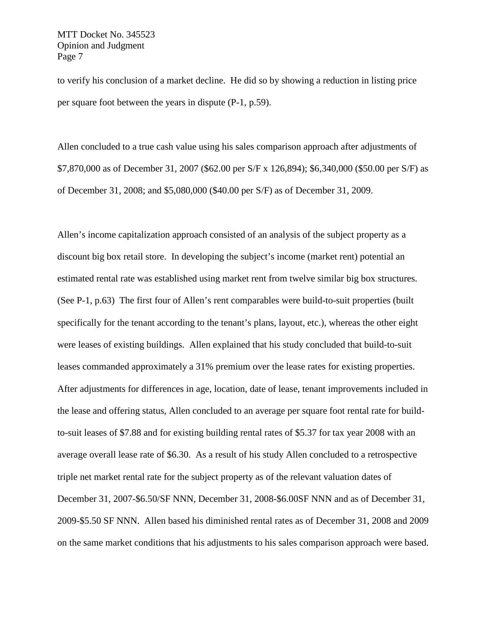to verify his conclusion of a market decline. He did so by showing a reduction in listing price per square foot between the years in dispute (P-1, p.59).

Allen concluded to a true cash value using his sales comparison approach after adjustments of \$7,870,000 as of December 31, 2007 (\$62.00 per S/F x 126,894); \$6,340,000 (\$50.00 per S/F) as of December 31, 2008; and \$5,080,000 (\$40.00 per S/F) as of December 31, 2009.

Allen's income capitalization approach consisted of an analysis of the subject property as a discount big box retail store. In developing the subject's income (market rent) potential an estimated rental rate was established using market rent from twelve similar big box structures. (See P-1, p.63) The first four of Allen's rent comparables were build-to-suit properties (built specifically for the tenant according to the tenant's plans, layout, etc.), whereas the other eight were leases of existing buildings. Allen explained that his study concluded that build-to-suit leases commanded approximately a 31% premium over the lease rates for existing properties. After adjustments for differences in age, location, date of lease, tenant improvements included in the lease and offering status, Allen concluded to an average per square foot rental rate for buildto-suit leases of \$7.88 and for existing building rental rates of \$5.37 for tax year 2008 with an average overall lease rate of \$6.30. As a result of his study Allen concluded to a retrospective triple net market rental rate for the subject property as of the relevant valuation dates of December 31, 2007-\$6.50/SF NNN, December 31, 2008-\$6.00SF NNN and as of December 31, 2009-\$5.50 SF NNN. Allen based his diminished rental rates as of December 31, 2008 and 2009 on the same market conditions that his adjustments to his sales comparison approach were based.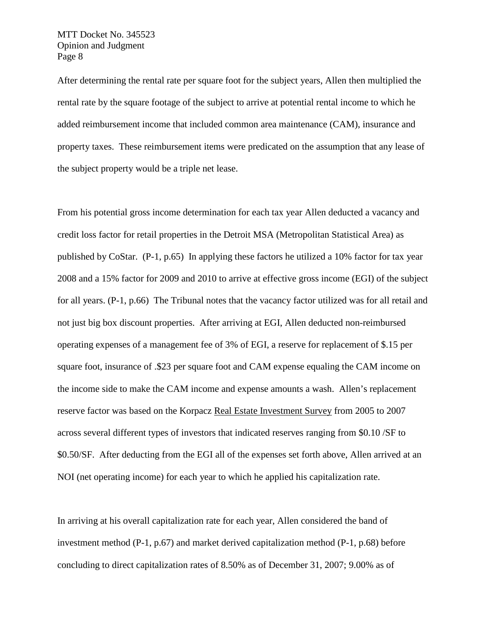After determining the rental rate per square foot for the subject years, Allen then multiplied the rental rate by the square footage of the subject to arrive at potential rental income to which he added reimbursement income that included common area maintenance (CAM), insurance and property taxes. These reimbursement items were predicated on the assumption that any lease of the subject property would be a triple net lease.

From his potential gross income determination for each tax year Allen deducted a vacancy and credit loss factor for retail properties in the Detroit MSA (Metropolitan Statistical Area) as published by CoStar. (P-1, p.65) In applying these factors he utilized a 10% factor for tax year 2008 and a 15% factor for 2009 and 2010 to arrive at effective gross income (EGI) of the subject for all years. (P-1, p.66) The Tribunal notes that the vacancy factor utilized was for all retail and not just big box discount properties. After arriving at EGI, Allen deducted non-reimbursed operating expenses of a management fee of 3% of EGI, a reserve for replacement of \$.15 per square foot, insurance of .\$23 per square foot and CAM expense equaling the CAM income on the income side to make the CAM income and expense amounts a wash. Allen's replacement reserve factor was based on the Korpacz Real Estate Investment Survey from 2005 to 2007 across several different types of investors that indicated reserves ranging from \$0.10 /SF to \$0.50/SF. After deducting from the EGI all of the expenses set forth above, Allen arrived at an NOI (net operating income) for each year to which he applied his capitalization rate.

In arriving at his overall capitalization rate for each year, Allen considered the band of investment method (P-1, p.67) and market derived capitalization method (P-1, p.68) before concluding to direct capitalization rates of 8.50% as of December 31, 2007; 9.00% as of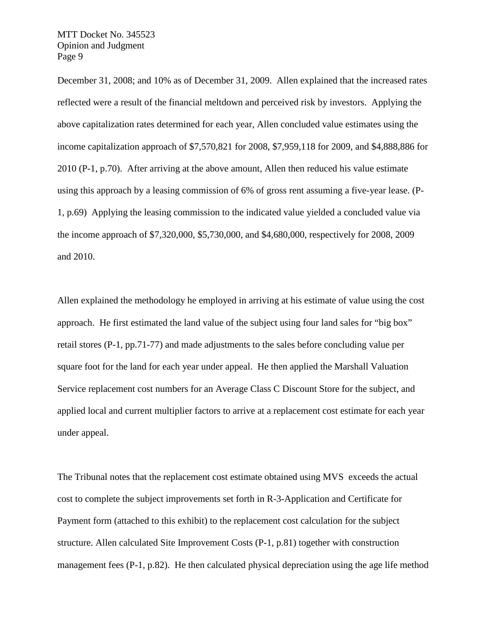December 31, 2008; and 10% as of December 31, 2009. Allen explained that the increased rates reflected were a result of the financial meltdown and perceived risk by investors. Applying the above capitalization rates determined for each year, Allen concluded value estimates using the income capitalization approach of \$7,570,821 for 2008, \$7,959,118 for 2009, and \$4,888,886 for 2010 (P-1, p.70). After arriving at the above amount, Allen then reduced his value estimate using this approach by a leasing commission of 6% of gross rent assuming a five-year lease. (P-1, p.69) Applying the leasing commission to the indicated value yielded a concluded value via the income approach of \$7,320,000, \$5,730,000, and \$4,680,000, respectively for 2008, 2009 and 2010.

Allen explained the methodology he employed in arriving at his estimate of value using the cost approach. He first estimated the land value of the subject using four land sales for "big box" retail stores (P-1, pp.71-77) and made adjustments to the sales before concluding value per square foot for the land for each year under appeal. He then applied the Marshall Valuation Service replacement cost numbers for an Average Class C Discount Store for the subject, and applied local and current multiplier factors to arrive at a replacement cost estimate for each year under appeal.

The Tribunal notes that the replacement cost estimate obtained using MVS exceeds the actual cost to complete the subject improvements set forth in R-3-Application and Certificate for Payment form (attached to this exhibit) to the replacement cost calculation for the subject structure. Allen calculated Site Improvement Costs (P-1, p.81) together with construction management fees (P-1, p.82). He then calculated physical depreciation using the age life method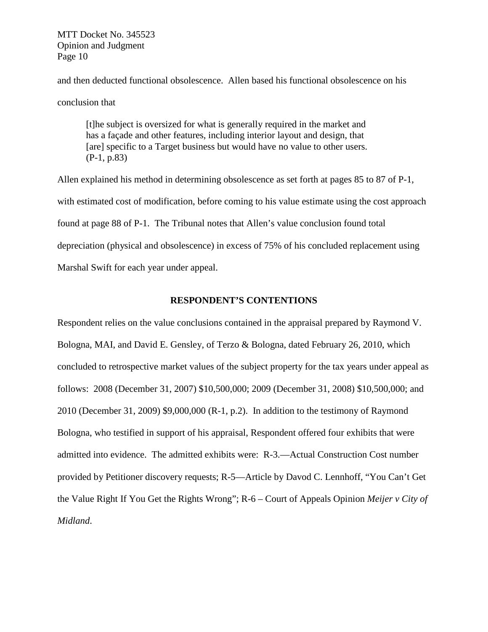and then deducted functional obsolescence. Allen based his functional obsolescence on his conclusion that

[t]he subject is oversized for what is generally required in the market and has a façade and other features, including interior layout and design, that [are] specific to a Target business but would have no value to other users. (P-1, p.83)

Allen explained his method in determining obsolescence as set forth at pages 85 to 87 of P-1, with estimated cost of modification, before coming to his value estimate using the cost approach found at page 88 of P-1. The Tribunal notes that Allen's value conclusion found total depreciation (physical and obsolescence) in excess of 75% of his concluded replacement using Marshal Swift for each year under appeal.

#### **RESPONDENT'S CONTENTIONS**

Respondent relies on the value conclusions contained in the appraisal prepared by Raymond V. Bologna, MAI, and David E. Gensley, of Terzo & Bologna, dated February 26, 2010, which concluded to retrospective market values of the subject property for the tax years under appeal as follows: 2008 (December 31, 2007) \$10,500,000; 2009 (December 31, 2008) \$10,500,000; and 2010 (December 31, 2009) \$9,000,000 (R-1, p.2). In addition to the testimony of Raymond Bologna, who testified in support of his appraisal, Respondent offered four exhibits that were admitted into evidence. The admitted exhibits were: R-3.—Actual Construction Cost number provided by Petitioner discovery requests; R-5—Article by Davod C. Lennhoff, "You Can't Get the Value Right If You Get the Rights Wrong"; R-6 – Court of Appeals Opinion *Meijer v City of Midland*.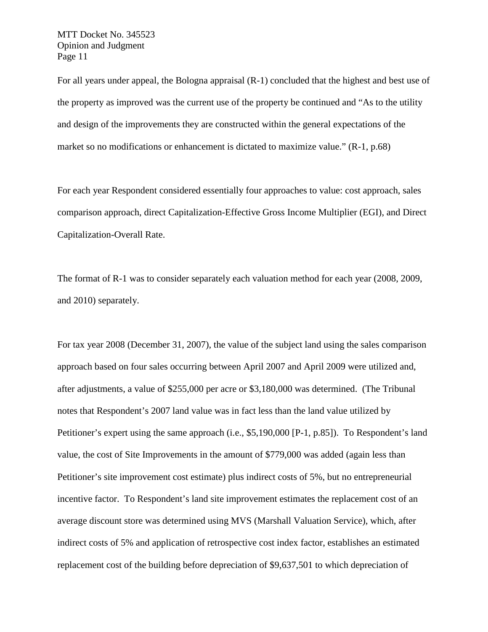For all years under appeal, the Bologna appraisal (R-1) concluded that the highest and best use of the property as improved was the current use of the property be continued and "As to the utility and design of the improvements they are constructed within the general expectations of the market so no modifications or enhancement is dictated to maximize value." (R-1, p.68)

For each year Respondent considered essentially four approaches to value: cost approach, sales comparison approach, direct Capitalization-Effective Gross Income Multiplier (EGI), and Direct Capitalization-Overall Rate.

The format of R-1 was to consider separately each valuation method for each year (2008, 2009, and 2010) separately.

For tax year 2008 (December 31, 2007), the value of the subject land using the sales comparison approach based on four sales occurring between April 2007 and April 2009 were utilized and, after adjustments, a value of \$255,000 per acre or \$3,180,000 was determined. (The Tribunal notes that Respondent's 2007 land value was in fact less than the land value utilized by Petitioner's expert using the same approach (i.e., \$5,190,000 [P-1, p.85]). To Respondent's land value, the cost of Site Improvements in the amount of \$779,000 was added (again less than Petitioner's site improvement cost estimate) plus indirect costs of 5%, but no entrepreneurial incentive factor. To Respondent's land site improvement estimates the replacement cost of an average discount store was determined using MVS (Marshall Valuation Service), which, after indirect costs of 5% and application of retrospective cost index factor, establishes an estimated replacement cost of the building before depreciation of \$9,637,501 to which depreciation of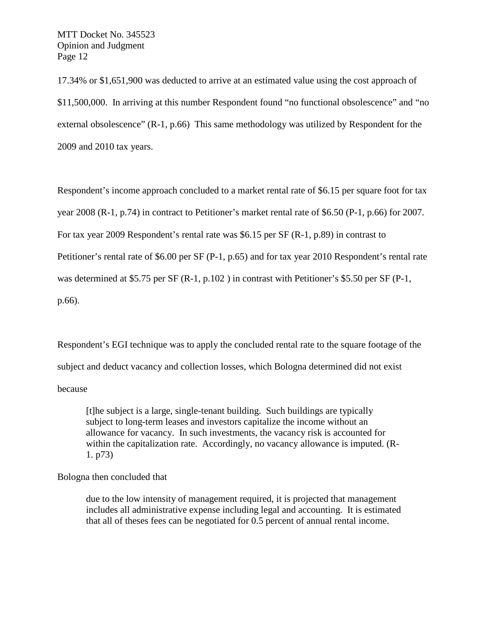17.34% or \$1,651,900 was deducted to arrive at an estimated value using the cost approach of \$11,500,000. In arriving at this number Respondent found "no functional obsolescence" and "no external obsolescence" (R-1, p.66) This same methodology was utilized by Respondent for the 2009 and 2010 tax years.

Respondent's income approach concluded to a market rental rate of \$6.15 per square foot for tax year 2008 (R-1, p.74) in contract to Petitioner's market rental rate of \$6.50 (P-1, p.66) for 2007. For tax year 2009 Respondent's rental rate was \$6.15 per SF (R-1, p.89) in contrast to Petitioner's rental rate of \$6.00 per SF (P-1, p.65) and for tax year 2010 Respondent's rental rate was determined at \$5.75 per SF (R-1, p.102) in contrast with Petitioner's \$5.50 per SF (P-1, p.66).

Respondent's EGI technique was to apply the concluded rental rate to the square footage of the subject and deduct vacancy and collection losses, which Bologna determined did not exist because

[t]he subject is a large, single-tenant building. Such buildings are typically subject to long-term leases and investors capitalize the income without an allowance for vacancy. In such investments, the vacancy risk is accounted for within the capitalization rate. Accordingly, no vacancy allowance is imputed. (R-1. p73)

Bologna then concluded that

due to the low intensity of management required, it is projected that management includes all administrative expense including legal and accounting. It is estimated that all of theses fees can be negotiated for 0.5 percent of annual rental income.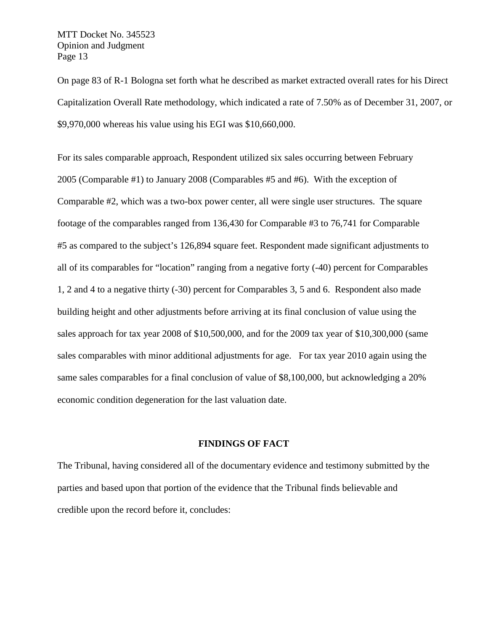On page 83 of R-1 Bologna set forth what he described as market extracted overall rates for his Direct Capitalization Overall Rate methodology, which indicated a rate of 7.50% as of December 31, 2007, or \$9,970,000 whereas his value using his EGI was \$10,660,000.

For its sales comparable approach, Respondent utilized six sales occurring between February 2005 (Comparable #1) to January 2008 (Comparables #5 and #6). With the exception of Comparable #2, which was a two-box power center, all were single user structures. The square footage of the comparables ranged from 136,430 for Comparable #3 to 76,741 for Comparable #5 as compared to the subject's 126,894 square feet. Respondent made significant adjustments to all of its comparables for "location" ranging from a negative forty (-40) percent for Comparables 1, 2 and 4 to a negative thirty (-30) percent for Comparables 3, 5 and 6. Respondent also made building height and other adjustments before arriving at its final conclusion of value using the sales approach for tax year 2008 of \$10,500,000, and for the 2009 tax year of \$10,300,000 (same sales comparables with minor additional adjustments for age. For tax year 2010 again using the same sales comparables for a final conclusion of value of \$8,100,000, but acknowledging a 20% economic condition degeneration for the last valuation date.

#### **FINDINGS OF FACT**

The Tribunal, having considered all of the documentary evidence and testimony submitted by the parties and based upon that portion of the evidence that the Tribunal finds believable and credible upon the record before it, concludes: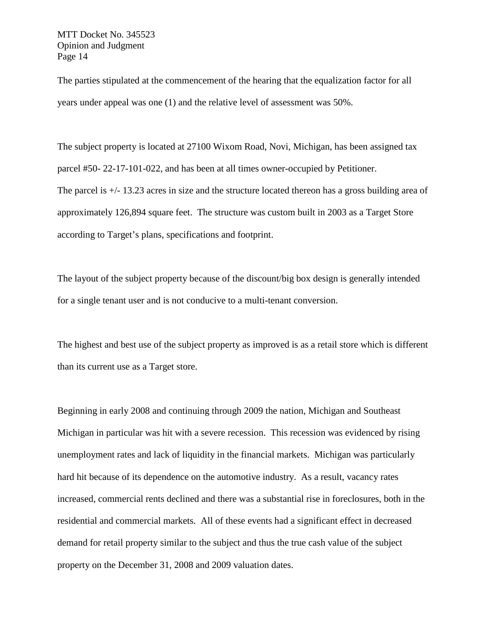The parties stipulated at the commencement of the hearing that the equalization factor for all years under appeal was one (1) and the relative level of assessment was 50%.

The subject property is located at 27100 Wixom Road, Novi, Michigan, has been assigned tax parcel #50- 22-17-101-022, and has been at all times owner-occupied by Petitioner. The parcel is +/- 13.23 acres in size and the structure located thereon has a gross building area of approximately 126,894 square feet. The structure was custom built in 2003 as a Target Store according to Target's plans, specifications and footprint.

The layout of the subject property because of the discount/big box design is generally intended for a single tenant user and is not conducive to a multi-tenant conversion.

The highest and best use of the subject property as improved is as a retail store which is different than its current use as a Target store.

Beginning in early 2008 and continuing through 2009 the nation, Michigan and Southeast Michigan in particular was hit with a severe recession. This recession was evidenced by rising unemployment rates and lack of liquidity in the financial markets. Michigan was particularly hard hit because of its dependence on the automotive industry. As a result, vacancy rates increased, commercial rents declined and there was a substantial rise in foreclosures, both in the residential and commercial markets. All of these events had a significant effect in decreased demand for retail property similar to the subject and thus the true cash value of the subject property on the December 31, 2008 and 2009 valuation dates.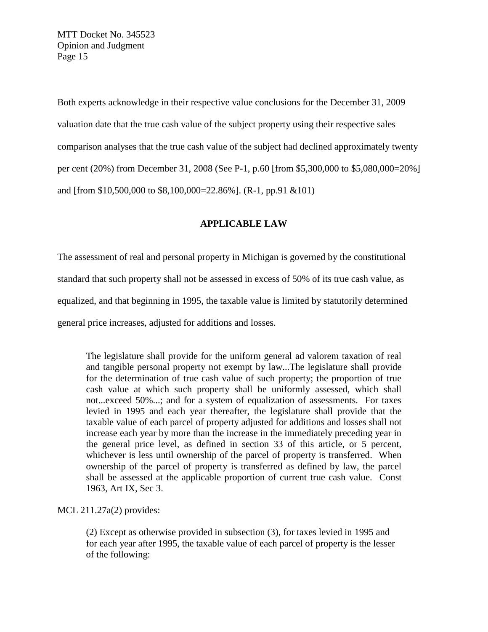Both experts acknowledge in their respective value conclusions for the December 31, 2009 valuation date that the true cash value of the subject property using their respective sales comparison analyses that the true cash value of the subject had declined approximately twenty per cent (20%) from December 31, 2008 (See P-1, p.60 [from \$5,300,000 to \$5,080,000=20%] and [from \$10,500,000 to \$8,100,000=22.86%]. (R-1, pp.91 &101)

# **APPLICABLE LAW**

The assessment of real and personal property in Michigan is governed by the constitutional standard that such property shall not be assessed in excess of 50% of its true cash value, as equalized, and that beginning in 1995, the taxable value is limited by statutorily determined general price increases, adjusted for additions and losses.

The legislature shall provide for the uniform general ad valorem taxation of real and tangible personal property not exempt by law...The legislature shall provide for the determination of true cash value of such property; the proportion of true cash value at which such property shall be uniformly assessed, which shall not...exceed 50%...; and for a system of equalization of assessments. For taxes levied in 1995 and each year thereafter, the legislature shall provide that the taxable value of each parcel of property adjusted for additions and losses shall not increase each year by more than the increase in the immediately preceding year in the general price level, as defined in section 33 of this article, or 5 percent, whichever is less until ownership of the parcel of property is transferred. When ownership of the parcel of property is transferred as defined by law, the parcel shall be assessed at the applicable proportion of current true cash value. Const 1963, Art IX, Sec 3.

## MCL 211.27a(2) provides:

(2) Except as otherwise provided in subsection (3), for taxes levied in 1995 and for each year after 1995, the taxable value of each parcel of property is the lesser of the following: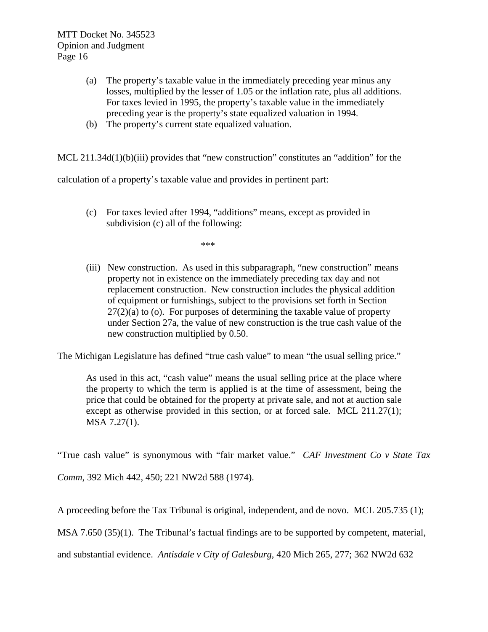- (a) The property's taxable value in the immediately preceding year minus any losses, multiplied by the lesser of 1.05 or the inflation rate, plus all additions. For taxes levied in 1995, the property's taxable value in the immediately preceding year is the property's state equalized valuation in 1994.
- (b) The property's current state equalized valuation.

MCL 211.34d(1)(b)(iii) provides that "new construction" constitutes an "addition" for the

calculation of a property's taxable value and provides in pertinent part:

(c) For taxes levied after 1994, "additions" means, except as provided in subdivision (c) all of the following:

\*\*\*

(iii) New construction. As used in this subparagraph, "new construction" means property not in existence on the immediately preceding tax day and not replacement construction. New construction includes the physical addition of equipment or furnishings, subject to the provisions set forth in Section  $27(2)(a)$  to (o). For purposes of determining the taxable value of property under Section 27a, the value of new construction is the true cash value of the new construction multiplied by 0.50.

The Michigan Legislature has defined "true cash value" to mean "the usual selling price."

As used in this act, "cash value" means the usual selling price at the place where the property to which the term is applied is at the time of assessment, being the price that could be obtained for the property at private sale, and not at auction sale except as otherwise provided in this section, or at forced sale. MCL 211.27(1); MSA 7.27(1).

"True cash value" is synonymous with "fair market value." *CAF Investment Co v State Tax* 

*Comm*, 392 Mich 442, 450; 221 NW2d 588 (1974).

A proceeding before the Tax Tribunal is original, independent, and de novo. MCL 205.735 (1);

MSA 7.650 (35)(1). The Tribunal's factual findings are to be supported by competent, material,

and substantial evidence. *Antisdale v City of Galesburg*, 420 Mich 265, 277; 362 NW2d 632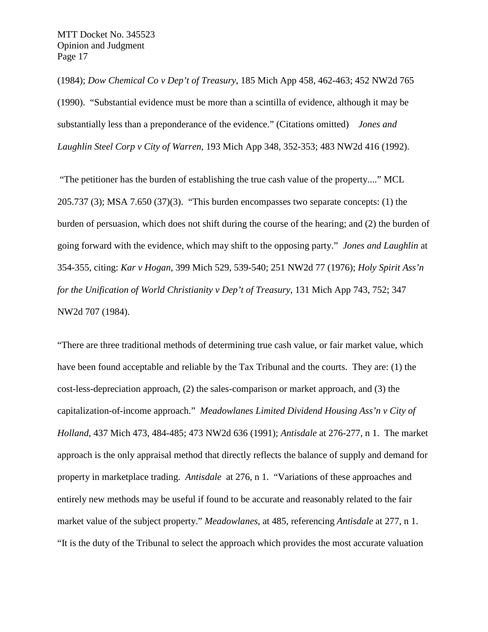(1984); *Dow Chemical Co v Dep't of Treasury*, 185 Mich App 458, 462-463; 452 NW2d 765 (1990). "Substantial evidence must be more than a scintilla of evidence, although it may be substantially less than a preponderance of the evidence." (Citations omitted) *Jones and Laughlin Steel Corp v City of Warren*, 193 Mich App 348, 352-353; 483 NW2d 416 (1992).

"The petitioner has the burden of establishing the true cash value of the property...." MCL 205.737 (3); MSA 7.650 (37)(3). "This burden encompasses two separate concepts: (1) the burden of persuasion, which does not shift during the course of the hearing; and (2) the burden of going forward with the evidence, which may shift to the opposing party." *Jones and Laughlin* at 354-355, citing: *Kar v Hogan*, 399 Mich 529, 539-540; 251 NW2d 77 (1976); *Holy Spirit Ass'n for the Unification of World Christianity v Dep't of Treasury*, 131 Mich App 743, 752; 347 NW2d 707 (1984).

"There are three traditional methods of determining true cash value, or fair market value, which have been found acceptable and reliable by the Tax Tribunal and the courts. They are: (1) the cost-less-depreciation approach, (2) the sales-comparison or market approach, and (3) the capitalization-of-income approach." *Meadowlanes Limited Dividend Housing Ass'n v City of Holland*, 437 Mich 473, 484-485; 473 NW2d 636 (1991); *Antisdale* at 276-277, n 1. The market approach is the only appraisal method that directly reflects the balance of supply and demand for property in marketplace trading. *Antisdale* at 276, n 1. "Variations of these approaches and entirely new methods may be useful if found to be accurate and reasonably related to the fair market value of the subject property." *Meadowlanes*, at 485, referencing *Antisdale* at 277, n 1. "It is the duty of the Tribunal to select the approach which provides the most accurate valuation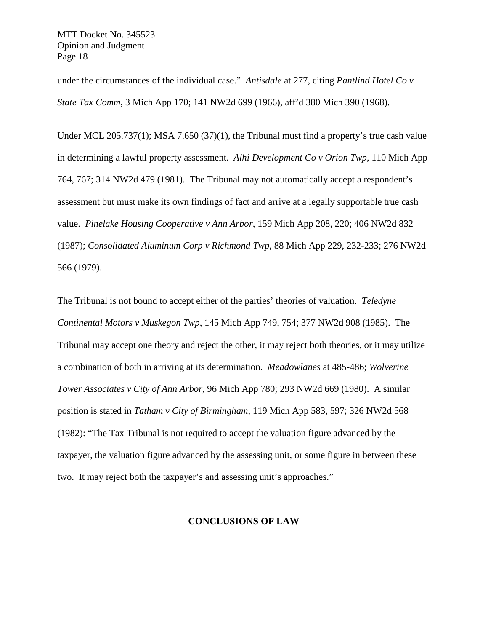under the circumstances of the individual case." *Antisdale* at 277, citing *Pantlind Hotel Co v State Tax Comm*, 3 Mich App 170; 141 NW2d 699 (1966), aff'd 380 Mich 390 (1968).

Under MCL 205.737(1); MSA 7.650 (37)(1), the Tribunal must find a property's true cash value in determining a lawful property assessment. *Alhi Development Co v Orion Twp*, 110 Mich App 764, 767; 314 NW2d 479 (1981). The Tribunal may not automatically accept a respondent's assessment but must make its own findings of fact and arrive at a legally supportable true cash value. *Pinelake Housing Cooperative v Ann Arbor*, 159 Mich App 208, 220; 406 NW2d 832 (1987); *Consolidated Aluminum Corp v Richmond Twp*, 88 Mich App 229, 232-233; 276 NW2d 566 (1979).

The Tribunal is not bound to accept either of the parties' theories of valuation. *Teledyne Continental Motors v Muskegon Twp*, 145 Mich App 749, 754; 377 NW2d 908 (1985). The Tribunal may accept one theory and reject the other, it may reject both theories, or it may utilize a combination of both in arriving at its determination. *Meadowlanes* at 485-486; *Wolverine Tower Associates v City of Ann Arbor*, 96 Mich App 780; 293 NW2d 669 (1980). A similar position is stated in *Tatham v City of Birmingham*, 119 Mich App 583, 597; 326 NW2d 568 (1982): "The Tax Tribunal is not required to accept the valuation figure advanced by the taxpayer, the valuation figure advanced by the assessing unit, or some figure in between these two. It may reject both the taxpayer's and assessing unit's approaches."

#### **CONCLUSIONS OF LAW**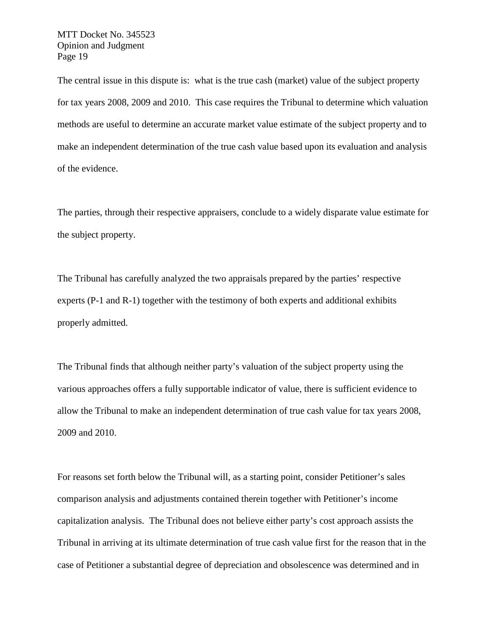The central issue in this dispute is: what is the true cash (market) value of the subject property for tax years 2008, 2009 and 2010. This case requires the Tribunal to determine which valuation methods are useful to determine an accurate market value estimate of the subject property and to make an independent determination of the true cash value based upon its evaluation and analysis of the evidence.

The parties, through their respective appraisers, conclude to a widely disparate value estimate for the subject property.

The Tribunal has carefully analyzed the two appraisals prepared by the parties' respective experts (P-1 and R-1) together with the testimony of both experts and additional exhibits properly admitted.

The Tribunal finds that although neither party's valuation of the subject property using the various approaches offers a fully supportable indicator of value, there is sufficient evidence to allow the Tribunal to make an independent determination of true cash value for tax years 2008, 2009 and 2010.

For reasons set forth below the Tribunal will, as a starting point, consider Petitioner's sales comparison analysis and adjustments contained therein together with Petitioner's income capitalization analysis. The Tribunal does not believe either party's cost approach assists the Tribunal in arriving at its ultimate determination of true cash value first for the reason that in the case of Petitioner a substantial degree of depreciation and obsolescence was determined and in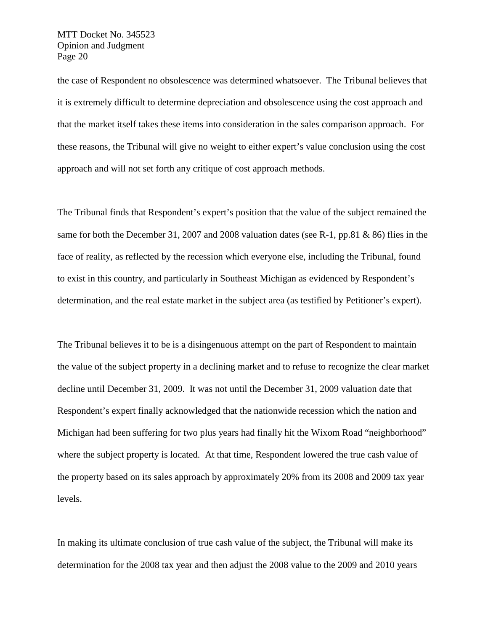the case of Respondent no obsolescence was determined whatsoever. The Tribunal believes that it is extremely difficult to determine depreciation and obsolescence using the cost approach and that the market itself takes these items into consideration in the sales comparison approach. For these reasons, the Tribunal will give no weight to either expert's value conclusion using the cost approach and will not set forth any critique of cost approach methods.

The Tribunal finds that Respondent's expert's position that the value of the subject remained the same for both the December 31, 2007 and 2008 valuation dates (see R-1, pp.81 & 86) flies in the face of reality, as reflected by the recession which everyone else, including the Tribunal, found to exist in this country, and particularly in Southeast Michigan as evidenced by Respondent's determination, and the real estate market in the subject area (as testified by Petitioner's expert).

The Tribunal believes it to be is a disingenuous attempt on the part of Respondent to maintain the value of the subject property in a declining market and to refuse to recognize the clear market decline until December 31, 2009. It was not until the December 31, 2009 valuation date that Respondent's expert finally acknowledged that the nationwide recession which the nation and Michigan had been suffering for two plus years had finally hit the Wixom Road "neighborhood" where the subject property is located. At that time, Respondent lowered the true cash value of the property based on its sales approach by approximately 20% from its 2008 and 2009 tax year levels.

In making its ultimate conclusion of true cash value of the subject, the Tribunal will make its determination for the 2008 tax year and then adjust the 2008 value to the 2009 and 2010 years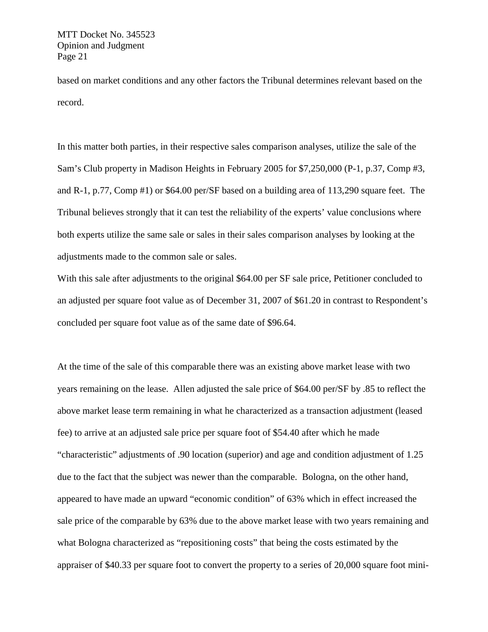based on market conditions and any other factors the Tribunal determines relevant based on the record.

In this matter both parties, in their respective sales comparison analyses, utilize the sale of the Sam's Club property in Madison Heights in February 2005 for \$7,250,000 (P-1, p.37, Comp #3, and R-1, p.77, Comp #1) or \$64.00 per/SF based on a building area of 113,290 square feet. The Tribunal believes strongly that it can test the reliability of the experts' value conclusions where both experts utilize the same sale or sales in their sales comparison analyses by looking at the adjustments made to the common sale or sales.

With this sale after adjustments to the original \$64.00 per SF sale price, Petitioner concluded to an adjusted per square foot value as of December 31, 2007 of \$61.20 in contrast to Respondent's concluded per square foot value as of the same date of \$96.64.

At the time of the sale of this comparable there was an existing above market lease with two years remaining on the lease. Allen adjusted the sale price of \$64.00 per/SF by .85 to reflect the above market lease term remaining in what he characterized as a transaction adjustment (leased fee) to arrive at an adjusted sale price per square foot of \$54.40 after which he made "characteristic" adjustments of .90 location (superior) and age and condition adjustment of 1.25 due to the fact that the subject was newer than the comparable. Bologna, on the other hand, appeared to have made an upward "economic condition" of 63% which in effect increased the sale price of the comparable by 63% due to the above market lease with two years remaining and what Bologna characterized as "repositioning costs" that being the costs estimated by the appraiser of \$40.33 per square foot to convert the property to a series of 20,000 square foot mini-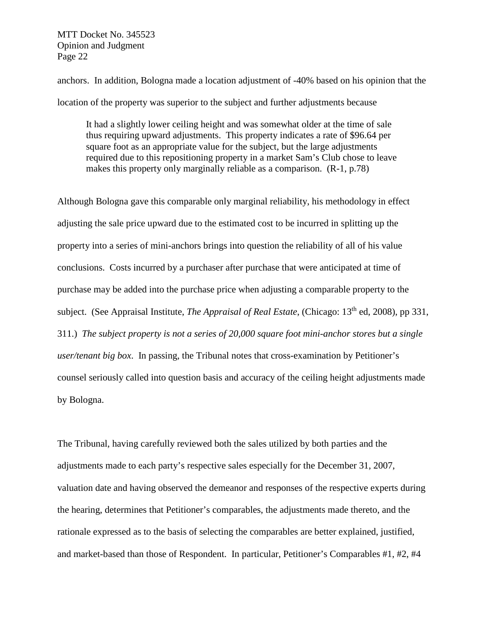anchors. In addition, Bologna made a location adjustment of -40% based on his opinion that the location of the property was superior to the subject and further adjustments because

It had a slightly lower ceiling height and was somewhat older at the time of sale thus requiring upward adjustments. This property indicates a rate of \$96.64 per square foot as an appropriate value for the subject, but the large adjustments required due to this repositioning property in a market Sam's Club chose to leave makes this property only marginally reliable as a comparison. (R-1, p.78)

Although Bologna gave this comparable only marginal reliability, his methodology in effect adjusting the sale price upward due to the estimated cost to be incurred in splitting up the property into a series of mini-anchors brings into question the reliability of all of his value conclusions. Costs incurred by a purchaser after purchase that were anticipated at time of purchase may be added into the purchase price when adjusting a comparable property to the subject. (See Appraisal Institute, *The Appraisal of Real Estate*, (Chicago: 13th ed, 2008), pp 331, 311.) *The subject property is not a series of 20,000 square foot mini-anchor stores but a single user/tenant big box*. In passing, the Tribunal notes that cross-examination by Petitioner's counsel seriously called into question basis and accuracy of the ceiling height adjustments made by Bologna.

The Tribunal, having carefully reviewed both the sales utilized by both parties and the adjustments made to each party's respective sales especially for the December 31, 2007, valuation date and having observed the demeanor and responses of the respective experts during the hearing, determines that Petitioner's comparables, the adjustments made thereto, and the rationale expressed as to the basis of selecting the comparables are better explained, justified, and market-based than those of Respondent. In particular, Petitioner's Comparables #1, #2, #4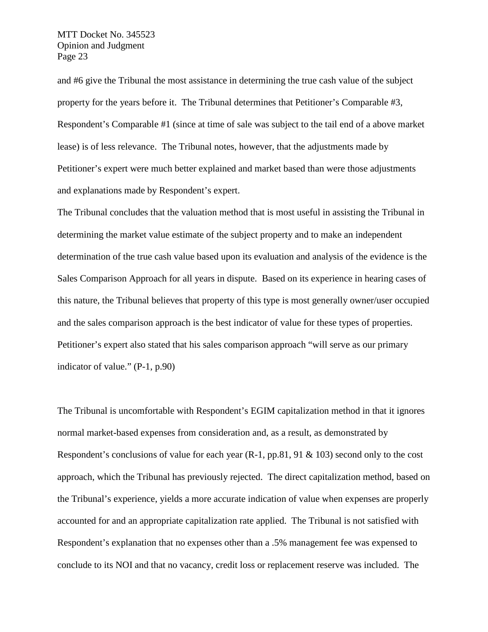and #6 give the Tribunal the most assistance in determining the true cash value of the subject property for the years before it. The Tribunal determines that Petitioner's Comparable #3, Respondent's Comparable #1 (since at time of sale was subject to the tail end of a above market lease) is of less relevance. The Tribunal notes, however, that the adjustments made by Petitioner's expert were much better explained and market based than were those adjustments and explanations made by Respondent's expert.

The Tribunal concludes that the valuation method that is most useful in assisting the Tribunal in determining the market value estimate of the subject property and to make an independent determination of the true cash value based upon its evaluation and analysis of the evidence is the Sales Comparison Approach for all years in dispute. Based on its experience in hearing cases of this nature, the Tribunal believes that property of this type is most generally owner/user occupied and the sales comparison approach is the best indicator of value for these types of properties. Petitioner's expert also stated that his sales comparison approach "will serve as our primary indicator of value." (P-1, p.90)

The Tribunal is uncomfortable with Respondent's EGIM capitalization method in that it ignores normal market-based expenses from consideration and, as a result, as demonstrated by Respondent's conclusions of value for each year (R-1, pp.81, 91 & 103) second only to the cost approach, which the Tribunal has previously rejected. The direct capitalization method, based on the Tribunal's experience, yields a more accurate indication of value when expenses are properly accounted for and an appropriate capitalization rate applied. The Tribunal is not satisfied with Respondent's explanation that no expenses other than a .5% management fee was expensed to conclude to its NOI and that no vacancy, credit loss or replacement reserve was included. The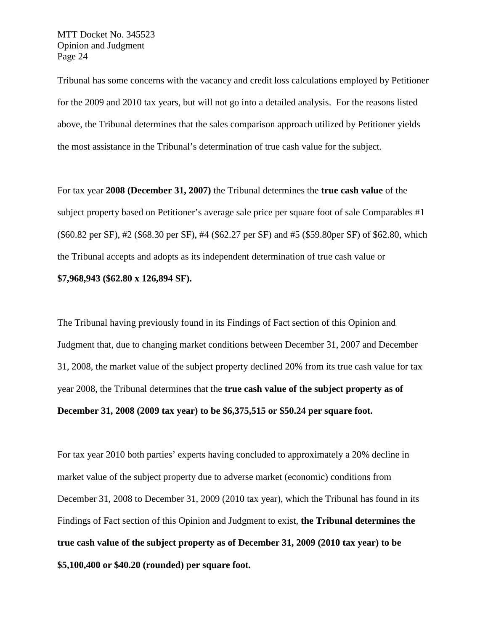Tribunal has some concerns with the vacancy and credit loss calculations employed by Petitioner for the 2009 and 2010 tax years, but will not go into a detailed analysis. For the reasons listed above, the Tribunal determines that the sales comparison approach utilized by Petitioner yields the most assistance in the Tribunal's determination of true cash value for the subject.

For tax year **2008 (December 31, 2007)** the Tribunal determines the **true cash value** of the subject property based on Petitioner's average sale price per square foot of sale Comparables #1 (\$60.82 per SF), #2 (\$68.30 per SF), #4 (\$62.27 per SF) and #5 (\$59.80per SF) of \$62.80, which the Tribunal accepts and adopts as its independent determination of true cash value or **\$7,968,943 (\$62.80 x 126,894 SF).**

The Tribunal having previously found in its Findings of Fact section of this Opinion and Judgment that, due to changing market conditions between December 31, 2007 and December 31, 2008, the market value of the subject property declined 20% from its true cash value for tax year 2008, the Tribunal determines that the **true cash value of the subject property as of December 31, 2008 (2009 tax year) to be \$6,375,515 or \$50.24 per square foot.**

For tax year 2010 both parties' experts having concluded to approximately a 20% decline in market value of the subject property due to adverse market (economic) conditions from December 31, 2008 to December 31, 2009 (2010 tax year), which the Tribunal has found in its Findings of Fact section of this Opinion and Judgment to exist, **the Tribunal determines the true cash value of the subject property as of December 31, 2009 (2010 tax year) to be \$5,100,400 or \$40.20 (rounded) per square foot.**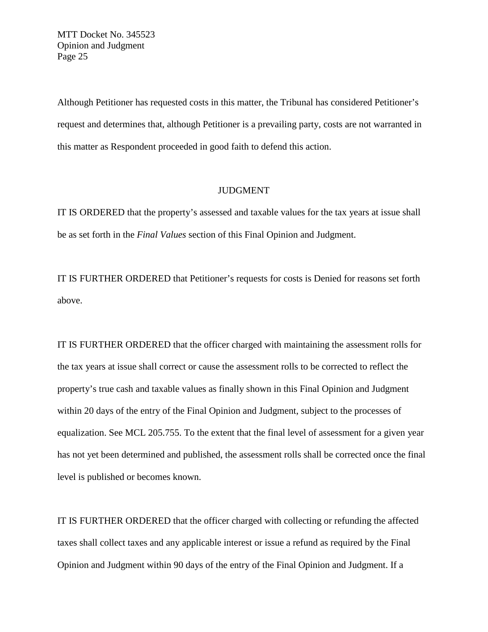Although Petitioner has requested costs in this matter, the Tribunal has considered Petitioner's request and determines that, although Petitioner is a prevailing party, costs are not warranted in this matter as Respondent proceeded in good faith to defend this action.

## JUDGMENT

IT IS ORDERED that the property's assessed and taxable values for the tax years at issue shall be as set forth in the *Final Values* section of this Final Opinion and Judgment.

IT IS FURTHER ORDERED that Petitioner's requests for costs is Denied for reasons set forth above.

IT IS FURTHER ORDERED that the officer charged with maintaining the assessment rolls for the tax years at issue shall correct or cause the assessment rolls to be corrected to reflect the property's true cash and taxable values as finally shown in this Final Opinion and Judgment within 20 days of the entry of the Final Opinion and Judgment, subject to the processes of equalization. See MCL 205.755. To the extent that the final level of assessment for a given year has not yet been determined and published, the assessment rolls shall be corrected once the final level is published or becomes known.

IT IS FURTHER ORDERED that the officer charged with collecting or refunding the affected taxes shall collect taxes and any applicable interest or issue a refund as required by the Final Opinion and Judgment within 90 days of the entry of the Final Opinion and Judgment. If a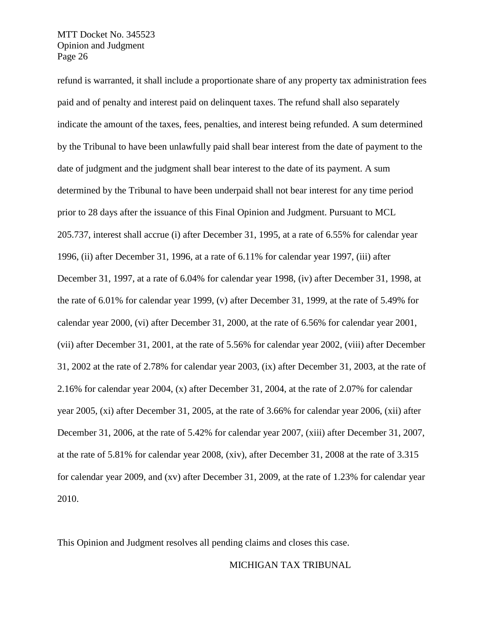refund is warranted, it shall include a proportionate share of any property tax administration fees paid and of penalty and interest paid on delinquent taxes. The refund shall also separately indicate the amount of the taxes, fees, penalties, and interest being refunded. A sum determined by the Tribunal to have been unlawfully paid shall bear interest from the date of payment to the date of judgment and the judgment shall bear interest to the date of its payment. A sum determined by the Tribunal to have been underpaid shall not bear interest for any time period prior to 28 days after the issuance of this Final Opinion and Judgment. Pursuant to MCL 205.737, interest shall accrue (i) after December 31, 1995, at a rate of 6.55% for calendar year 1996, (ii) after December 31, 1996, at a rate of 6.11% for calendar year 1997, (iii) after December 31, 1997, at a rate of 6.04% for calendar year 1998, (iv) after December 31, 1998, at the rate of 6.01% for calendar year 1999, (v) after December 31, 1999, at the rate of 5.49% for calendar year 2000, (vi) after December 31, 2000, at the rate of 6.56% for calendar year 2001, (vii) after December 31, 2001, at the rate of 5.56% for calendar year 2002, (viii) after December 31, 2002 at the rate of 2.78% for calendar year 2003, (ix) after December 31, 2003, at the rate of 2.16% for calendar year 2004, (x) after December 31, 2004, at the rate of 2.07% for calendar year 2005, (xi) after December 31, 2005, at the rate of 3.66% for calendar year 2006, (xii) after December 31, 2006, at the rate of 5.42% for calendar year 2007, (xiii) after December 31, 2007, at the rate of 5.81% for calendar year 2008, (xiv), after December 31, 2008 at the rate of 3.315 for calendar year 2009, and (xv) after December 31, 2009, at the rate of 1.23% for calendar year 2010.

This Opinion and Judgment resolves all pending claims and closes this case.

#### MICHIGAN TAX TRIBUNAL